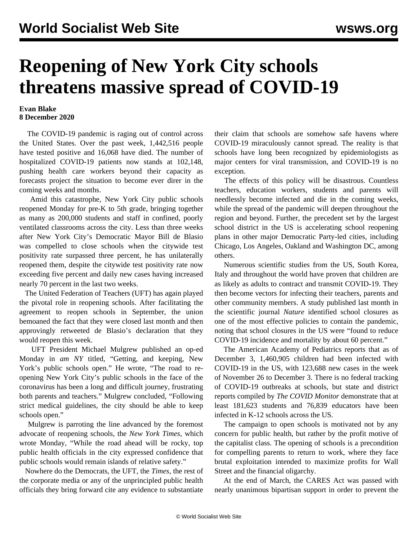## **Reopening of New York City schools threatens massive spread of COVID-19**

## **Evan Blake 8 December 2020**

 The COVID-19 pandemic is raging out of control across the United States. Over the past week, 1,442,516 people have tested positive and 16,068 have died. The number of hospitalized COVID-19 patients now stands at 102,148, pushing health care workers beyond their capacity as forecasts project the situation to become ever direr in the coming weeks and months.

 Amid this catastrophe, New York City public schools reopened Monday for pre-K to 5th grade, bringing together as many as 200,000 students and staff in confined, poorly ventilated classrooms across the city. Less than three weeks after New York City's Democratic Mayor Bill de Blasio was compelled to close schools when the citywide test positivity rate surpassed three percent, he has unilaterally reopened them, despite the citywide test positivity rate now exceeding five percent and daily new cases having increased nearly 70 percent in the last two weeks.

 The United Federation of Teachers (UFT) has again played the pivotal role in reopening schools. After facilitating the agreement to reopen schools in September, the union bemoaned the fact that they were closed last month and then approvingly retweeted de Blasio's declaration that they would reopen this week.

 UFT President Michael Mulgrew published an op-ed Monday in *am NY* titled, "Getting, and keeping, New York's public schools open." He wrote, "The road to reopening New York City's public schools in the face of the coronavirus has been a long and difficult journey, frustrating both parents and teachers." Mulgrew concluded, "Following strict medical guidelines, the city should be able to keep schools open."

 Mulgrew is parroting the line advanced by the foremost advocate of reopening schools, the *New York Times*, which wrote Monday, "While the road ahead will be rocky, top public health officials in the city expressed confidence that public schools would remain islands of relative safety."

 Nowhere do the Democrats, the UFT, the *Times,* the rest of the corporate media or any of the unprincipled public health officials they bring forward cite any evidence to substantiate their claim that schools are somehow safe havens where COVID-19 miraculously cannot spread. The reality is that schools have long been recognized by epidemiologists as major centers for viral transmission, and COVID-19 is no exception.

 The effects of this policy will be disastrous. Countless teachers, education workers, students and parents will needlessly become infected and die in the coming weeks, while the spread of the pandemic will deepen throughout the region and beyond. Further, the precedent set by the largest school district in the US is accelerating school reopening plans in other major Democratic Party-led cities, including Chicago, Los Angeles, Oakland and Washington DC, among others.

 Numerous scientific studies from the US, South Korea, Italy and throughout the world have proven that children are as likely as adults to contract and transmit COVID-19. They then become vectors for infecting their teachers, parents and other community members. A study published last month in the scientific journal *Nature* identified school closures as one of the most effective policies to contain the pandemic, noting that school closures in the US were "found to reduce COVID-19 incidence and mortality by about 60 percent."

 The American Academy of Pediatrics reports that as of December 3, 1,460,905 children had been infected with COVID-19 in the US, with 123,688 new cases in the week of November 26 to December 3. There is no federal tracking of COVID-19 outbreaks at schools, but state and district reports compiled by *The COVID Monitor* demonstrate that at least 181,623 students and 76,839 educators have been infected in K-12 schools across the US.

 The campaign to open schools is motivated not by any concern for public health, but rather by the profit motive of the capitalist class. The opening of schools is a precondition for compelling parents to return to work, where they face brutal exploitation intended to maximize profits for Wall Street and the financial oligarchy.

 At the end of March, the CARES Act was passed with nearly unanimous bipartisan support in order to prevent the